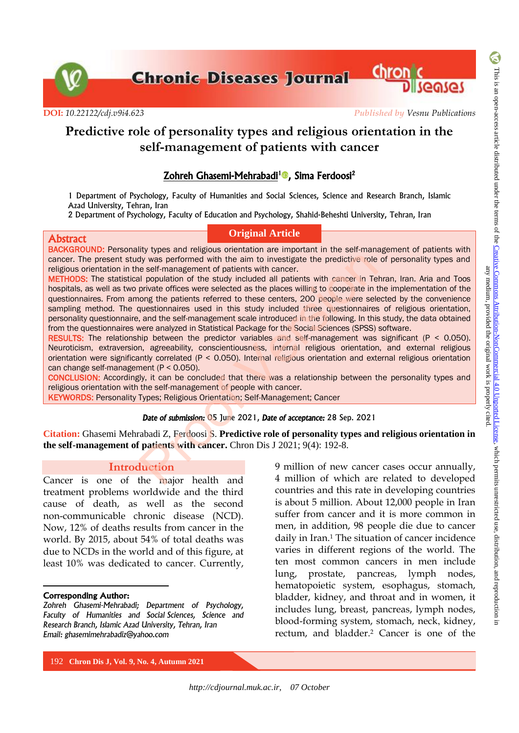**Chronic Diseases Journal Chronic** 

**DOI:** *[10.22122/cdj.v9i4.623](http://dx.doi.org/10.22122/cdj.v9i4.623) Published by Vesnu Publications*

# **Predictive role of personality types and religious orientation in the self-management of patients with cancer**

# Zohreh Ghasemi-Mehrabadi<sup>1</sup>®[,](https://orcid.org/0000-0001-9999-6802) Sima Ferdoosi<sup>2</sup>

1 Department of Psychology, Faculty of Humanities and Social Sciences, Science and Research Branch, Islamic Azad University, Tehran, Iran

2 Department of Psychology, Faculty of Education and Psychology, Shahid-Beheshti University, Tehran, Iran

#### Abstract

### **Original Article**

BACKGROUND: Personality types and religious orientation are important in the self-management of patients with cancer. The present study was performed with the aim to investigate the predictive role of personality types and religious orientation in the self-management of patients with cancer.

METHODS: The statistical population of the study included all patients with cancer in Tehran, Iran. Aria and Toos hospitals, as well as two private offices were selected as the places willing to cooperate in the implementation of the questionnaires. From among the patients referred to these centers, 200 people were selected by the convenience sampling method. The questionnaires used in this study included three questionnaires of religious orientation, personality questionnaire, and the self-management scale introduced in the following. In this study, the data obtained from the questionnaires were analyzed in Statistical Package for the Social Sciences (SPSS) software. by was performed with the aim to investigate the predictive role of each management of patients with cancer.<br>
I population of the study included all patients with cancer in Te<br>
private offices were selected as the places

RESULTS: The relationship between the predictor variables and self-management was significant (P < 0.050). Neuroticism, extraversion, agreeability, conscientiousness, internal religious orientation, and external religious orientation were significantly correlated (P < 0.050). Internal religious orientation and external religious orientation can change self-management (P < 0.050).

CONCLUSION: Accordingly, it can be concluded that there was a relationship between the personality types and religious orientation with the self-management of people with cancer.

KEYWORDS: Personality Types; Religious Orientation; Self-Management; Cancer

# *Date of submission:* 05 June 2021, *Date of acceptance:* 28 Sep. 2021

**Citation:** Ghasemi Mehrabadi Z, Ferdoosi S. **Predictive role of personality types and religious orientation in the self-management of patients with cancer.** Chron Dis J 2021; 9(4): 192-8.

## **Introduction**

Cancer is one of the major health and treatment problems worldwide and the third cause of death, as well as the second non-communicable chronic disease (NCD). Now, 12% of deaths results from cancer in the world. By 2015, about 54% of total deaths was due to NCDs in the world and of this figure, at least 10% was dedicated to cancer. Currently,

#### Corresponding Author:

 $\overline{a}$ 

*Zohreh Ghasemi-Mehrabadi; Department of Psychology, Faculty of Humanities and Social Sciences, Science and Research Branch, Islamic Azad University, Tehran, Iran Email: ghasemimehrabadiz@yahoo.com* 

9 million of new cancer cases occur annually, 4 million of which are related to developed countries and this rate in developing countries is about 5 million. About 12,000 people in Iran suffer from cancer and it is more common in men, in addition, 98 people die due to cancer daily in Iran.<sup>1</sup> The situation of cancer incidence varies in different regions of the world. The ten most common cancers in men include lung, prostate, pancreas, lymph nodes, hematopoietic system, esophagus, stomach, bladder, kidney, and throat and in women, it includes lung, breast, pancreas, lymph nodes, blood-forming system, stomach, neck, kidney, rectum, and bladder.<sup>2</sup> Cancer is one of the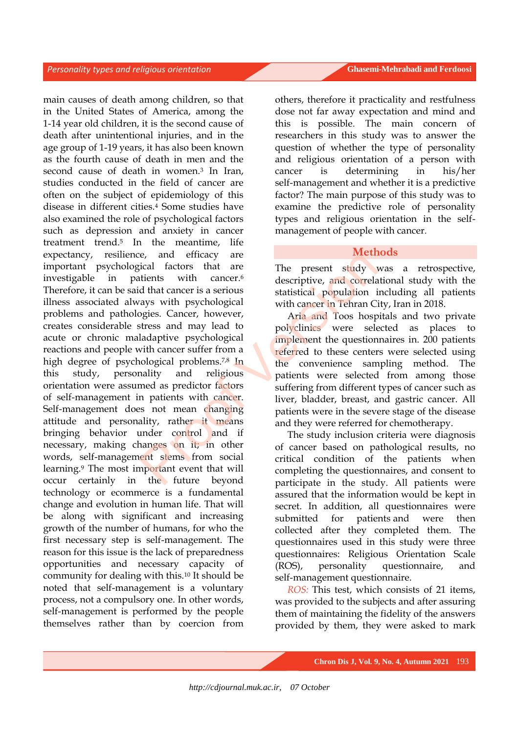main causes of death among children, so that in the United States of America, among the 1-14 year old children, it is the second cause of death after unintentional injuries, and in the age group of 1-19 years, it has also been known as the fourth cause of death in men and the second cause of death in women.<sup>3</sup> In Iran, studies conducted in the field of cancer are often on the subject of epidemiology of this disease in different cities.<sup>4</sup> Some studies have also examined the role of psychological factors such as depression and anxiety in cancer treatment trend.<sup>5</sup> In the meantime, life expectancy, resilience, and efficacy are important psychological factors that are investigable in patients with cancer.<sup>6</sup> Therefore, it can be said that cancer is a serious illness associated always with psychological problems and pathologies. Cancer, however, creates considerable stress and may lead to acute or chronic maladaptive psychological reactions and people with cancer suffer from a high degree of psychological problems.<sup>7,8</sup> In this study, personality and religious orientation were assumed as predictor factors of self-management in patients with cancer. Self-management does not mean changing attitude and personality, rather it means bringing behavior under control and if necessary, making changes on it; in other words, self-management stems from social learning.<sup>9</sup> The most important event that will occur certainly in the future beyond technology or ecommerce is a fundamental change and evolution in human life. That will be along with significant and increasing growth of the number of humans, for who the first necessary step is self-management. The reason for this issue is the lack of preparedness opportunities and necessary capacity of community for dealing with this.<sup>10</sup> It should be noted that self-management is a voluntary process, not a compulsory one. In other words, self-management is performed by the people themselves rather than by coercion from Example the studies are the study of the theorem is a serious districtional distribution in the study of the study of the study of the study of the study of the study of the study of the study of the study of the study of

others, therefore it practicality and restfulness dose not far away expectation and mind and this is possible. The main concern of researchers in this study was to answer the question of whether the type of personality and religious orientation of a person with cancer is determining in his/her self-management and whether it is a predictive factor? The main purpose of this study was to examine the predictive role of personality types and religious orientation in the selfmanagement of people with cancer.

# **Methods**

The present study was a retrospective, descriptive, and correlational study with the statistical population including all patients with cancer in Tehran City, Iran in 2018.

Aria and Toos hospitals and two private polyclinics were selected as places to implement the questionnaires in. 200 patients referred to these centers were selected using the convenience sampling method. The patients were selected from among those suffering from different types of cancer such as liver, bladder, breast, and gastric cancer. All patients were in the severe stage of the disease and they were referred for chemotherapy.

The study inclusion criteria were diagnosis of cancer based on pathological results, no critical condition of the patients when completing the questionnaires, and consent to participate in the study. All patients were assured that the information would be kept in secret. In addition, all questionnaires were submitted for patients and were then collected after they completed them. The questionnaires used in this study were three questionnaires: Religious Orientation Scale (ROS), personality questionnaire, and self-management questionnaire.

*ROS:* This test, which consists of 21 items, was provided to the subjects and after assuring them of maintaining the fidelity of the answers provided by them, they were asked to mark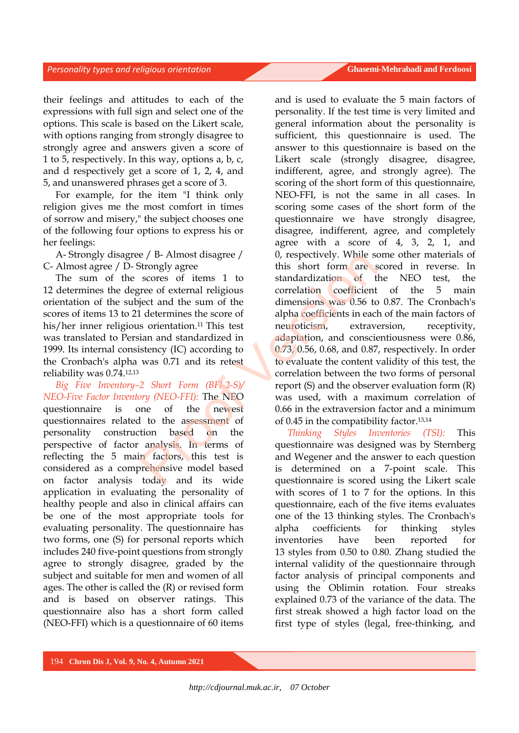their feelings and attitudes to each of the expressions with full sign and select one of the options. This scale is based on the Likert scale, with options ranging from strongly disagree to strongly agree and answers given a score of 1 to 5, respectively. In this way, options a, b, c, and d respectively get a score of 1, 2, 4, and 5, and unanswered phrases get a score of 3.

For example, for the item "I think only religion gives me the most comfort in times of sorrow and misery," the subject chooses one of the following four options to express his or her feelings:

A- Strongly disagree / B- Almost disagree / C- Almost agree / D- Strongly agree

The sum of the scores of items 1 to 12 determines the degree of external religious orientation of the subject and the sum of the scores of items 13 to 21 determines the score of his/her inner religious orientation. <sup>11</sup>This test was translated to Persian and standardized in 1999. Its internal consistency (IC) according to the Cronbach's alpha was 0.71 and its retest reliability was 0.74.12,13

*Big Five Inventory–2 Short Form (BFI-2-S)/ NEO-Five Factor Inventory (NEO-FFI):* The NEO questionnaire is one of the newest questionnaires related to the assessment of personality construction based on the perspective of factor analysis. In terms of reflecting the 5 main factors, this test is considered as a comprehensive model based on factor analysis today and its wide application in evaluating the personality of healthy people and also in clinical affairs can be one of the most appropriate tools for evaluating personality. The questionnaire has two forms, one (S) for personal reports which includes 240 five-point questions from strongly agree to strongly disagree, graded by the subject and suitable for men and women of all ages. The other is called the (R) or revised form and is based on observer ratings. This questionnaire also has a short form called (NEO-FFI) which is a questionnaire of 60 items

and is used to evaluate the 5 main factors of personality. If the test time is very limited and general information about the personality is sufficient, this questionnaire is used. The answer to this questionnaire is based on the Likert scale (strongly disagree, disagree, indifferent, agree, and strongly agree). The scoring of the short form of this questionnaire, NEO-FFI, is not the same in all cases. In scoring some cases of the short form of the questionnaire we have strongly disagree, disagree, indifferent, agree, and completely agree with a score of 4, 3, 2, 1, and 0, respectively. While some other materials of this short form are scored in reverse. In standardization of the NEO test, the correlation coefficient of the 5 main dimensions was 0.56 to 0.87. The Cronbach's alpha coefficients in each of the main factors of neuroticism, extraversion, receptivity, adaptation, and conscientiousness were 0.86, 0.73, 0.56, 0.68, and 0.87, respectively. In order to evaluate the content validity of this test, the correlation between the two forms of personal report (S) and the observer evaluation form (R) was used, with a maximum correlation of 0.66 in the extraversion factor and a minimum of 0.45 in the compatibility factor.13,14 e / b-Almost disagree / b, respectively. While skores of items 1 to standardization of the correlation of the dimensions was 0.56 to determines the score of alpha coefficients in each solution.<sup>11</sup> This test is determined

*Thinking Styles Inventories (TSI):* This questionnaire was designed was by Sternberg and Wegener and the answer to each question is determined on a 7-point scale. This questionnaire is scored using the Likert scale with scores of 1 to 7 for the options. In this questionnaire, each of the five items evaluates one of the 13 thinking styles. The Cronbach's alpha coefficients for thinking styles inventories have been reported for 13 styles from 0.50 to 0.80. Zhang studied the internal validity of the questionnaire through factor analysis of principal components and using the Oblimin rotation. Four streaks explained 0.73 of the variance of the data. The first streak showed a high factor load on the first type of styles (legal, free-thinking, and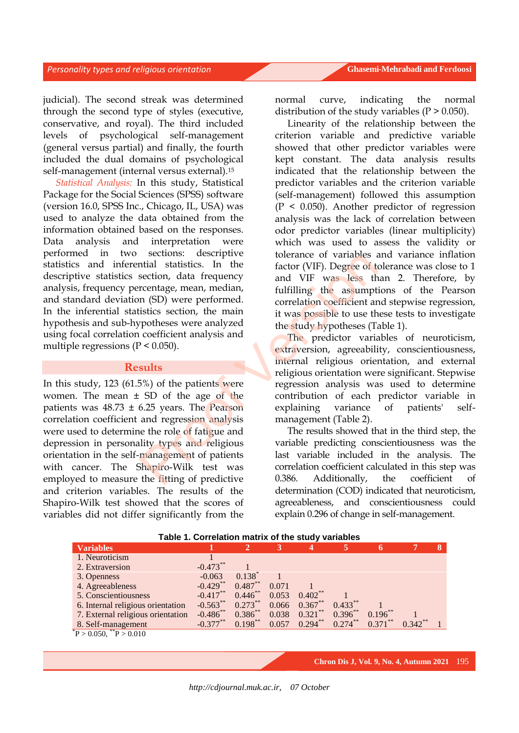judicial). The second streak was determined through the second type of styles (executive, conservative, and royal). The third included levels of psychological self-management (general versus partial) and finally, the fourth included the dual domains of psychological self-management (internal versus external).<sup>15</sup>

*Statistical Analysis:* In this study, Statistical Package for the Social Sciences (SPSS) software (version 16.0, SPSS Inc., Chicago, IL, USA) was used to analyze the data obtained from the information obtained based on the responses. Data analysis and interpretation were performed in two sections: descriptive statistics and inferential statistics. In the descriptive statistics section, data frequency analysis, frequency percentage, mean, median, and standard deviation (SD) were performed. In the inferential statistics section, the main hypothesis and sub-hypotheses were analyzed using focal correlation coefficient analysis and multiple regressions ( $P < 0.050$ ).

# **Results**

In this study, 123 (61.5%) of the patients were women. The mean  $\pm$  SD of the age of the patients was  $48.73 \pm 6.25$  years. The Pearson correlation coefficient and regression analysis were used to determine the role of fatigue and depression in personality types and religious orientation in the self-management of patients with cancer. The Shapiro-Wilk test was employed to measure the fitting of predictive and criterion variables. The results of the Shapiro-Wilk test showed that the scores of variables did not differ significantly from the Sections. uescriptive<br>
section, data frequency<br>
section, data frequency<br>
reentage, mean, median,<br>
m (SD) were performed.<br>
The main and VIF was less that<br>
probless were analyzed<br>
original internal is the study hypotheses (T

normal curve, indicating the normal distribution of the study variables  $(P > 0.050)$ .

Linearity of the relationship between the criterion variable and predictive variable showed that other predictor variables were kept constant. The data analysis results indicated that the relationship between the predictor variables and the criterion variable (self-management) followed this assumption (P < 0.050). Another predictor of regression analysis was the lack of correlation between odor predictor variables (linear multiplicity) which was used to assess the validity or tolerance of variables and variance inflation factor (VIF). Degree of tolerance was close to 1 and VIF was less than 2. Therefore, by fulfilling the assumptions of the Pearson correlation coefficient and stepwise regression, it was possible to use these tests to investigate the study hypotheses (Table 1).

The predictor variables of neuroticism, extraversion, agreeability, conscientiousness, internal religious orientation, and external religious orientation were significant. Stepwise regression analysis was used to determine contribution of each predictor variable in explaining variance of patients' selfmanagement (Table 2).

The results showed that in the third step, the variable predicting conscientiousness was the last variable included in the analysis. The correlation coefficient calculated in this step was 0.386. Additionally, the coefficient of determination (COD) indicated that neuroticism, agreeableness, and conscientiousness could explain 0.296 of change in self-management.

| <b>Variables</b>                  |                       | $\mathbf{2}$      | 3     | 4          | 5          | 6          |            | 8 |
|-----------------------------------|-----------------------|-------------------|-------|------------|------------|------------|------------|---|
| 1. Neuroticism                    |                       |                   |       |            |            |            |            |   |
| 2. Extraversion                   | $-0.473$ <sup>*</sup> |                   |       |            |            |            |            |   |
| 3. Openness                       | $-0.063$              | $0.138^{\degree}$ |       |            |            |            |            |   |
| 4. Agreeableness                  | $-0.429$ **           | $0.487**$         | 0.071 |            |            |            |            |   |
| 5. Conscientiousness              | $-0.417***$           | $0.446***$        | 0.053 | $0.402$ ** |            |            |            |   |
| 6. Internal religious orientation | $-0.563$ **           | $0.273***$        | 0.066 | $0.367**$  | $0.433***$ |            |            |   |
| 7. External religious orientation | $-0.486$ **           | $0.386^{**}$      | 0.038 | $0.321***$ | $0.396***$ | $0.196$ ** |            |   |
| 8. Self-management                | $-0.377***$           | $0.198***$        | 0.057 | $0.294***$ | $0.274***$ | $0.371***$ | $0.342***$ |   |
| $P > 0.050$ , $P > 0.010$         |                       |                   |       |            |            |            |            |   |

#### **Table 1. Correlation matrix of the study variables**

**Chron Dis J, Vol. 9, No. 4, Autumn 2021** 195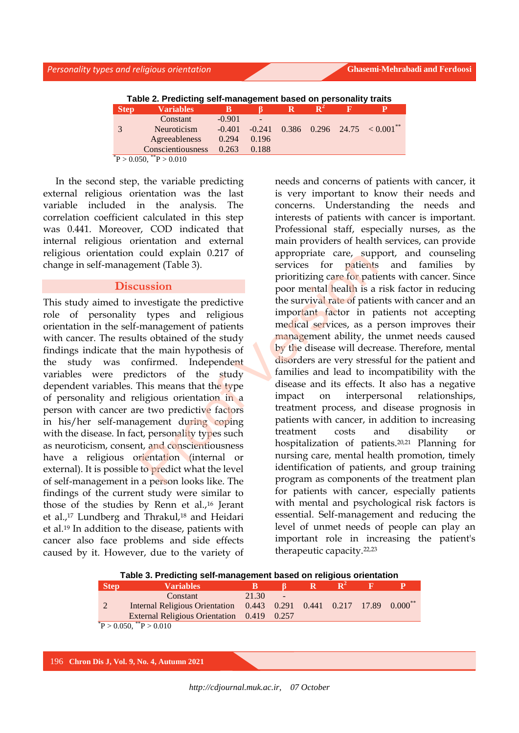| Table 2. Predicting self-management based on personality traits |                    |          |          |  |  |  |                                      |  |
|-----------------------------------------------------------------|--------------------|----------|----------|--|--|--|--------------------------------------|--|
| <b>Step</b>                                                     | <b>Variables</b>   |          |          |  |  |  |                                      |  |
|                                                                 | Constant           | $-0.901$ |          |  |  |  |                                      |  |
|                                                                 | <b>Neuroticism</b> | $-0.401$ | $-0.241$ |  |  |  | $0.386$ $0.296$ $24.75$ $< 0.001$ ** |  |
|                                                                 | Agreeableness      | 0.294    | 0.196    |  |  |  |                                      |  |
|                                                                 | Conscientiousness  | 0.263    | 0.188    |  |  |  |                                      |  |
| $P > 0.050$ ,                                                   | $\sqrt{P} > 0.010$ |          |          |  |  |  |                                      |  |

In the second step, the variable predicting external religious orientation was the last variable included in the analysis. The correlation coefficient calculated in this step was 0.441. Moreover, COD indicated that internal religious orientation and external religious orientation could explain 0.217 of change in self-management (Table 3).

## **Discussion**

This study aimed to investigate the predictive role of personality types and religious orientation in the self-management of patients with cancer. The results obtained of the study findings indicate that the main hypothesis of the study was confirmed. Independent variables were predictors of the study dependent variables. This means that the type of personality and religious orientation in a person with cancer are two predictive factors in his/her self-management during coping with the disease. In fact, personality types such as neuroticism, consent, and conscientiousness have a religious orientation (internal or external). It is possible to predict what the level of self-management in a person looks like. The findings of the current study were similar to those of the studies by Renn et al.,16 Jerant et al.,<sup>17</sup> Lundberg and Thrakul,<sup>18</sup> and Heidari et al.19 In addition to the disease, patients with cancer also face problems and side effects caused by it. However, due to the variety of

needs and concerns of patients with cancer, it is very important to know their needs and concerns. Understanding the needs and interests of patients with cancer is important. Professional staff, especially nurses, as the main providers of health services, can provide appropriate care, support, and counseling services for patients and families by prioritizing care for patients with cancer. Since poor mental health is a risk factor in reducing the survival rate of patients with cancer and an important factor in patients not accepting medical services, as a person improves their management ability, the unmet needs caused by the disease will decrease. Therefore, mental disorders are very stressful for the patient and families and lead to incompatibility with the disease and its effects. It also has a negative impact on interpersonal relationships, treatment process, and disease prognosis in patients with cancer, in addition to increasing treatment costs and disability or hospitalization of patients.20,21 Planning for nursing care, mental health promotion, timely identification of patients, and group training program as components of the treatment plan for patients with cancer, especially patients with mental and psychological risk factors is essential. Self-management and reducing the level of unmet needs of people can play an important role in increasing the patient's therapeutic capacity.22,23 From the services for pathents are, supporting the propertion of the services for pathents of pathents of pathents of pathents are served to provide the survival rate of pathent of pathent is obtained of the study the main

| Table 3. Predicting self-management based on religious orientation |                                                                                        |       |                 |  |  |  |  |
|--------------------------------------------------------------------|----------------------------------------------------------------------------------------|-------|-----------------|--|--|--|--|
| <b>Step</b>                                                        | <b>Variables</b>                                                                       | В     |                 |  |  |  |  |
|                                                                    | Constant                                                                               | 21.30 | $\qquad \qquad$ |  |  |  |  |
|                                                                    | Internal Religious Orientation  0.443  0.291  0.441  0.217  17.89  0.000 <sup>**</sup> |       |                 |  |  |  |  |
|                                                                    | External Religious Orientation 0.419 0.257                                             |       |                 |  |  |  |  |
|                                                                    | $P > 0.050$ , $^*P > 0.010$                                                            |       |                 |  |  |  |  |
|                                                                    |                                                                                        |       |                 |  |  |  |  |

**Table 3. Predicting self-management based on religious orientation** 

196 **Chron Dis J, Vol. 9, No. 4, Autumn 2021**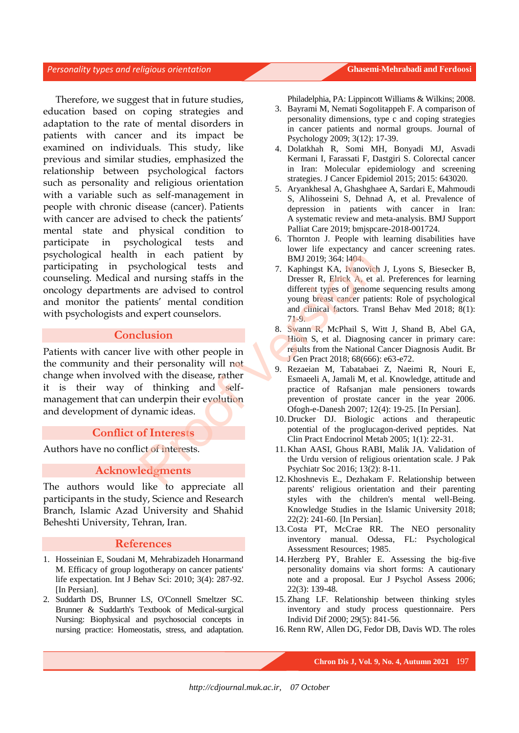Therefore, we suggest that in future studies, education based on coping strategies and adaptation to the rate of mental disorders in patients with cancer and its impact be examined on individuals. This study, like previous and similar studies, emphasized the relationship between psychological factors such as personality and religious orientation with a variable such as self-management in people with chronic disease (cancer). Patients with cancer are advised to check the patients' mental state and physical condition to participate in psychological tests and psychological health in each patient by participating in psychological tests and counseling. Medical and nursing staffs in the oncology departments are advised to control and monitor the patients' mental condition with psychologists and expert counselors.

# **Conclusion**

Patients with cancer live with other people in the community and their personality will not change when involved with the disease, rather it is their way of thinking and selfmanagement that can underpin their evolution and development of dynamic ideas. meach patient by<br>
whological tests and<br>
a margin staffs in the Dresser R, Elinck A, et and the same different types of genome<br>
ients' mental condition<br>
and different types of genome<br>
ients' mental condition<br>
and dinical fa

# **Conflict of Interests**

Authors have no conflict of interests.

# **Acknowledgments**

The authors would like to appreciate all participants in the study, Science and Research Branch, Islamic Azad University and Shahid Beheshti University, Tehran, Iran.

#### **References**

- 1. Hosseinian E, Soudani M, Mehrabizadeh Honarmand M. Efficacy of group logotherapy on cancer patients' life expectation. Int J Behav Sci: 2010; 3(4): 287-92. [In Persian].
- 2. Suddarth DS, Brunner LS, O'Connell Smeltzer SC. Brunner & Suddarth's Textbook of Medical-surgical Nursing: Biophysical and psychosocial concepts in nursing practice: Homeostatis, stress, and adaptation.

Philadelphia, PA: Lippincott Williams & Wilkins; 2008.

- 3. Bayrami M, Nemati Sogolitappeh F. A comparison of personality dimensions, type c and coping strategies in cancer patients and normal groups. Journal of Psychology 2009; 3(12): 17-39.
- 4. Dolatkhah R, Somi MH, Bonyadi MJ, Asvadi Kermani I, Farassati F, Dastgiri S. Colorectal cancer in Iran: Molecular epidemiology and screening strategies. J Cancer Epidemiol 2015; 2015: 643020.
- 5. Aryankhesal A, Ghashghaee A, Sardari E, Mahmoudi S, Alihosseini S, Dehnad A, et al. Prevalence of depression in patients with cancer in Iran: A systematic review and meta-analysis. BMJ Support Palliat Care 2019; bmjspcare-2018-001724.
- 6. Thornton J. People with learning disabilities have lower life expectancy and cancer screening rates. BMJ 2019; 364: l404.
- 7. Kaphingst KA, Ivanovich J, Lyons S, Biesecker B, Dresser R, Elrick A, et al. Preferences for learning different types of genome sequencing results among young breast cancer patients: Role of psychological and clinical factors. Transl Behav Med 2018; 8(1): 71-9.
- 8. Swann R, McPhail S, Witt J, Shand B, Abel GA, Hiom S, et al. Diagnosing cancer in primary care: results from the National Cancer Diagnosis Audit. Br J Gen Pract 2018; 68(666): e63-e72.
- 9. Rezaeian M, Tabatabaei Z, Naeimi R, Nouri E, Esmaeeli A, Jamali M, et al. Knowledge, attitude and practice of Rafsanjan male pensioners towards prevention of prostate cancer in the year 2006. Ofogh-e-Danesh 2007; 12(4): 19-25. [In Persian].
- 10. Drucker DJ. Biologic actions and therapeutic potential of the proglucagon-derived peptides. Nat Clin Pract Endocrinol Metab 2005; 1(1): 22-31.
- 11. Khan AASI, Ghous RABI, Malik JA. Validation of the Urdu version of religious orientation scale. J Pak Psychiatr Soc 2016; 13(2): 8-11.
- 12. Khoshnevis E., Dezhakam F. Relationship between parents' religious orientation and their parenting styles with the children's mental well-Being. Knowledge Studies in the Islamic University 2018; 22(2): 241-60. [In Persian].
- 13.Costa PT, McCrae RR. The NEO personality inventory manual. Odessa, FL: Psychological Assessment Resources; 1985.
- 14. Herzberg PY, Brahler E. Assessing the big-five personality domains via short forms: A cautionary note and a proposal. Eur J Psychol Assess 2006; 22(3): 139-48.
- 15. Zhang LF. Relationship between thinking styles inventory and study process questionnaire. Pers Individ Dif 2000; 29(5): 841-56.
- 16. Renn RW, Allen DG, Fedor DB, Davis WD. The roles

**Chron Dis J, Vol. 9, No. 4, Autumn 2021** 197